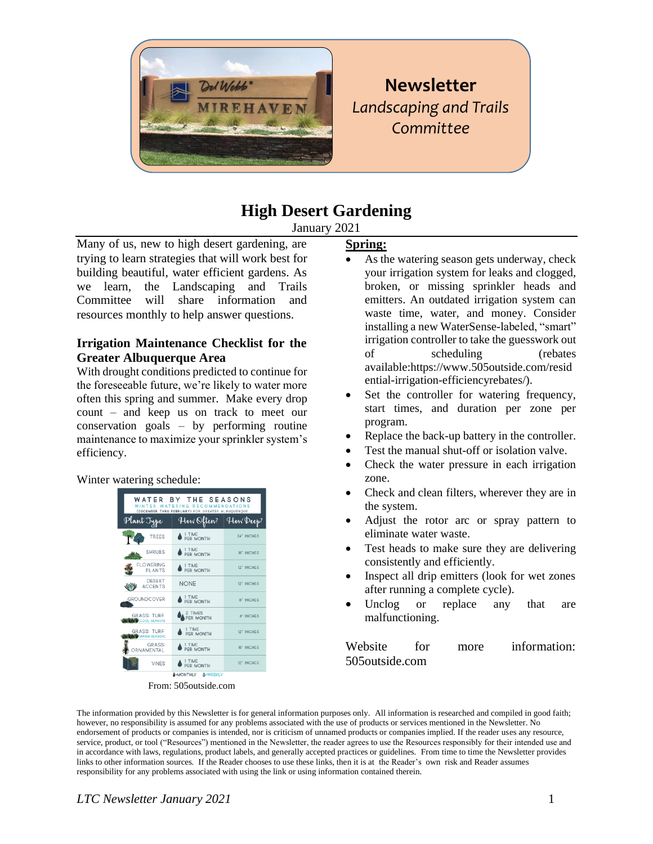

# **Newsletter** *Landscaping and Trails Committee*

# **High Desert Gardening**

January 2021

Many of us, new to high desert gardening, are trying to learn strategies that will work best for building beautiful, water efficient gardens. As we learn, the Landscaping and Trails Committee will share information and resources monthly to help answer questions.

# **Irrigation Maintenance Checklist for the Greater Albuquerque Area**

With drought conditions predicted to continue for the foreseeable future, we're likely to water more often this spring and summer. Make every drop count – and keep us on track to meet our conservation goals – by performing routine maintenance to maximize your sprinkler system's efficiency.

# Winter watering schedule:



#### From: 505outside.com

#### **Spring:**

- As the watering season gets underway, check your irrigation system for leaks and clogged, broken, or missing sprinkler heads and emitters. An outdated irrigation system can waste time, water, and money. Consider installing a new WaterSense-labeled, "smart" irrigation controller to take the guesswork out of scheduling (rebates available:https://www.505outside.com/resid ential-irrigation-efficiencyrebates/).
- Set the controller for watering frequency, start times, and duration per zone per program.
- Replace the back-up battery in the controller.
- Test the manual shut-off or isolation valve.
- Check the water pressure in each irrigation zone.
- Check and clean filters, wherever they are in the system.
- Adjust the rotor arc or spray pattern to eliminate water waste.
- Test heads to make sure they are delivering consistently and efficiently.
- Inspect all drip emitters (look for wet zones after running a complete cycle).
- Unclog or replace any that are malfunctioning.

Website for more information: 505outside.com

The information provided by this Newsletter is for general information purposes only. All information is researched and compiled in good faith; however, no responsibility is assumed for any problems associated with the use of products or services mentioned in the Newsletter. No endorsement of products or companies is intended, nor is criticism of unnamed products or companies implied. If the reader uses any resource, service, product, or tool ("Resources") mentioned in the Newsletter, the reader agrees to use the Resources responsibly for their intended use and in accordance with laws, regulations, product labels, and generally accepted practices or guidelines. From time to time the Newsletter provides links to other information sources. If the Reader chooses to use these links, then it is at the Reader's own risk and Reader assumes responsibility for any problems associated with using the link or using information contained therein.